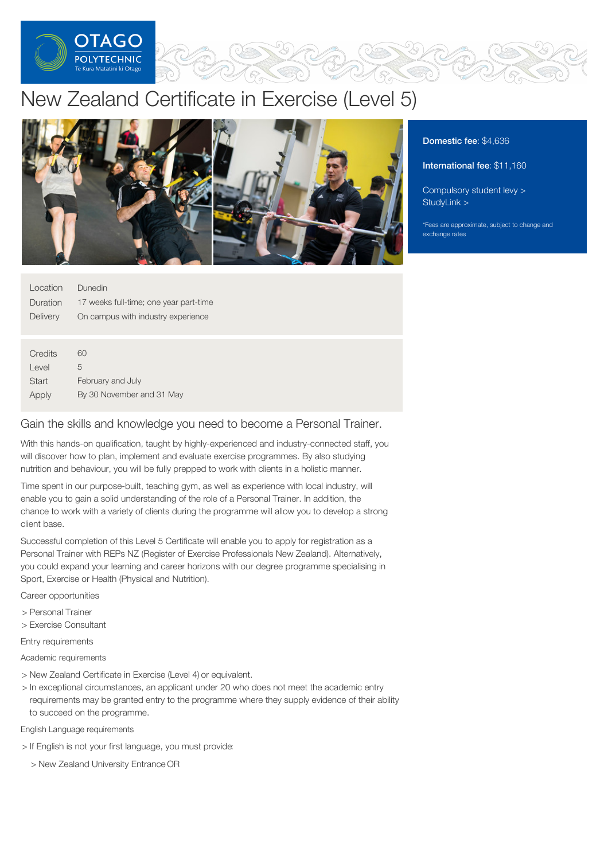

# New Zealand Certificate in Exercise (Level 5)



Location Duration **Delivery** Dunedin 17 weeks full-time; one year part-time On campus with industry experience

| Credits | 60                        |
|---------|---------------------------|
| Level   | 5                         |
| Start   | February and July         |
| Apply   | By 30 November and 31 May |

# Gain the skills and knowledge you need to become a Personal Trainer.

With this hands-on qualification, taught by highly-experienced and industry-connected staff, you will discover how to plan, implement and evaluate exercise programmes. By also studying nutrition and behaviour, you will be fully prepped to work with clients in a holistic manner.

Time spent in our purpose-built, teaching gym, as well as experience with local industry, will enable you to gain a solid understanding of the role of a Personal Trainer. In addition, the chance to work with a variety of clients during the programme will allow you to develop a strong client base.

Successful completion of this Level 5 Certificate will enable you to apply for registration as a Personal Trainer with REPs NZ (Register of Exercise Professionals New Zealand). Alternatively, you could expand your learning and career horizons with our degree programme specialising in Sport, Exercise or Health (Physical and Nutrition).

Career opportunities

- > Personal Trainer
- > Exercise Consultant

Entry requirements

Academic requirements

- > New Zealand Certificate in Exercise (Level 4) or equivalent.
- > In exceptional circumstances, an applicant under 20 who does not meet the academic entry requirements may be granted entry to the programme where they supply evidence of their ability to succeed on the programme.

English Language requirements

- > If English is not your first language, you must provide:
	- > New Zealand University Entrance OR

# Domestic fee: \$4,636

International fee: \$11,160

[Compulsory](https://online.op.ac.nz/students/important-information/student-services-levy/) student levy > [StudyLink](https://www.studylink.govt.nz/) >

\*Fees are approximate, subject to change and exchange rates